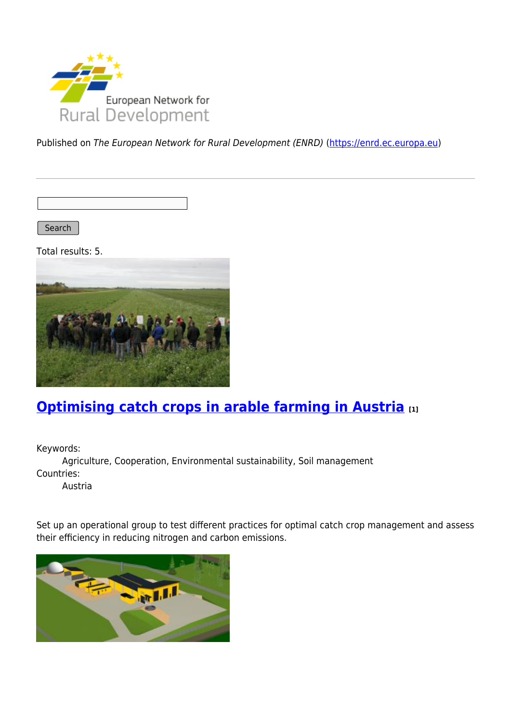

Published on The European Network for Rural Development (ENRD) [\(https://enrd.ec.europa.eu](https://enrd.ec.europa.eu))

Search

Total results: 5.



# **[Optimising catch crops in arable farming in Austria](https://enrd.ec.europa.eu/projects-practice/optimising-catch-crops-arable-farming-austria_en) [1]**

Keywords:

Agriculture, Cooperation, Environmental sustainability, Soil management Countries:

Austria

Set up an operational group to test different practices for optimal catch crop management and assess their efficiency in reducing nitrogen and carbon emissions.

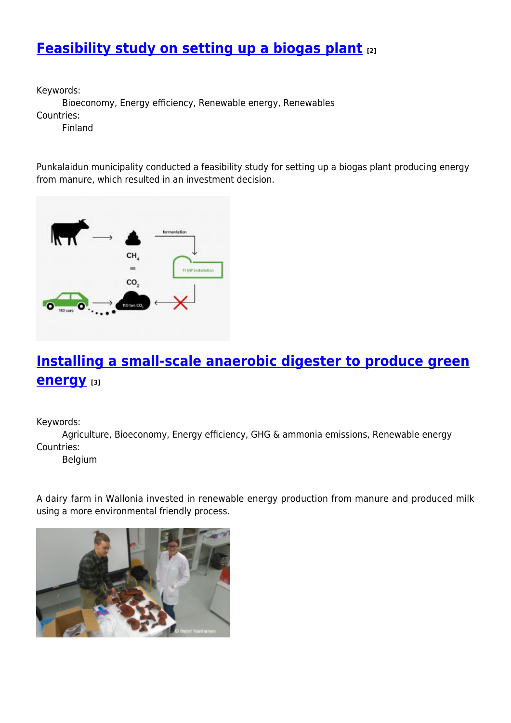## **[Feasibility study on setting up a biogas plant](https://enrd.ec.europa.eu/projects-practice/feasibility-study-setting-biogas-plant_en) [2]**

Keywords:

Bioeconomy, Energy efficiency, Renewable energy, Renewables Countries:

Finland

Punkalaidun municipality conducted a feasibility study for setting up a biogas plant producing energy from manure, which resulted in an investment decision.



## **[Installing a small-scale anaerobic digester to produce green](https://enrd.ec.europa.eu/projects-practice/installing-small-scale-anaerobic-digester-produce-green-energy_en) [energy](https://enrd.ec.europa.eu/projects-practice/installing-small-scale-anaerobic-digester-produce-green-energy_en) [3]**

Keywords:

Agriculture, Bioeconomy, Energy efficiency, GHG & ammonia emissions, Renewable energy Countries:

Belgium

A dairy farm in Wallonia invested in renewable energy production from manure and produced milk using a more environmental friendly process.

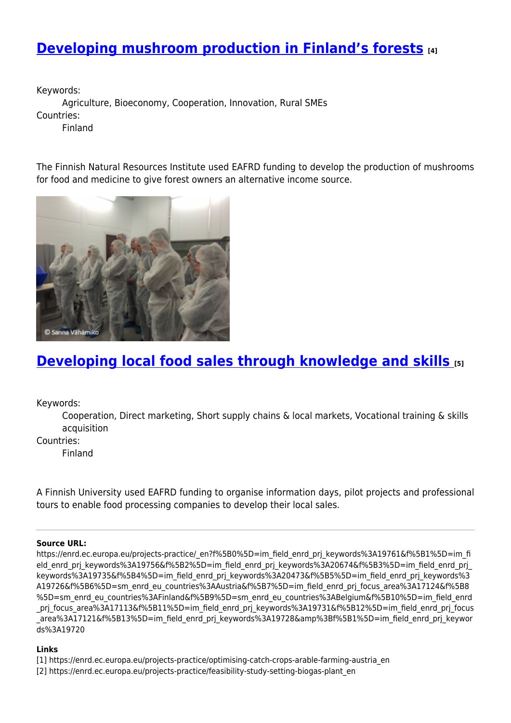## **[Developing mushroom production in Finland's forests](https://enrd.ec.europa.eu/projects-practice/developing-mushroom-production-finlands-forests_en) [4]**

Keywords: Agriculture, Bioeconomy, Cooperation, Innovation, Rural SMEs Countries: Finland

The Finnish Natural Resources Institute used EAFRD funding to develop the production of mushrooms for food and medicine to give forest owners an alternative income source.



#### **[Developing local food sales through knowledge and skills](https://enrd.ec.europa.eu/projects-practice/developing-local-food-sales-through-knowledge-and-skills_en) [5]**

Keywords:

Cooperation, Direct marketing, Short supply chains & local markets, Vocational training & skills acquisition

Countries:

Finland

A Finnish University used EAFRD funding to organise information days, pilot projects and professional tours to enable food processing companies to develop their local sales.

#### **Source URL:**

https://enrd.ec.europa.eu/projects-practice/\_en?f%5B0%5D=im\_field\_enrd\_prj\_keywords%3A19761&f%5B1%5D=im\_fi eld enrd prj keywords%3A19756&f%5B2%5D=im field enrd prj keywords%3A20674&f%5B3%5D=im field enrd prj keywords%3A19735&f%5B4%5D=im\_field\_enrd\_prj\_keywords%3A20473&f%5B5%5D=im\_field\_enrd\_prj\_keywords%3 A19726&f%5B6%5D=sm\_enrd\_eu\_countries%3AAustria&f%5B7%5D=im\_field\_enrd\_prj\_focus\_area%3A17124&f%5B8 %5D=sm\_enrd\_eu\_countries%3AFinland&f%5B9%5D=sm\_enrd\_eu\_countries%3ABelgium&f%5B10%5D=im\_field\_enrd \_prj\_focus\_area%3A17113&f%5B11%5D=im\_field\_enrd\_prj\_keywords%3A19731&f%5B12%5D=im\_field\_enrd\_prj\_focus area%3A17121&f%5B13%5D=im\_field\_enrd\_prj\_keywords%3A19728&amp%3Bf%5B1%5D=im\_field\_enrd\_prj\_keywor ds%3A19720

#### **Links**

- [1] https://enrd.ec.europa.eu/projects-practice/optimising-catch-crops-arable-farming-austria\_en
- [2] https://enrd.ec.europa.eu/projects-practice/feasibility-study-setting-biogas-plant\_en